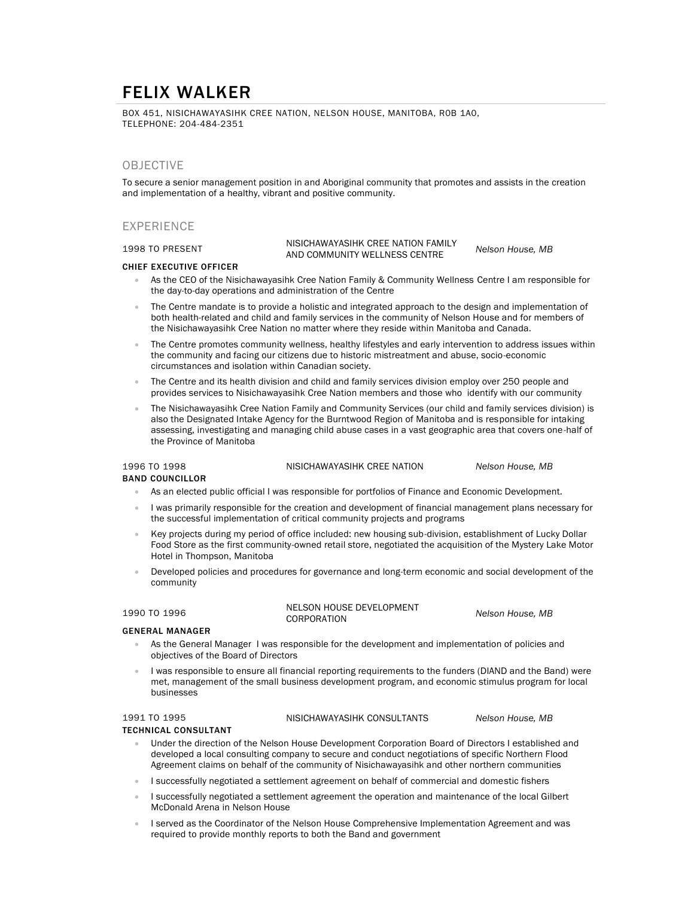# FELIX WALKER

BOX 451, NISICHAWAYASIHK CREE NATION, NELSON HOUSE, MANITOBA, R0B 1A0, TELEPHONE: 204-484-2351

## **OBJECTIVE**

To secure a senior management position in and Aboriginal community that promotes and assists in the creation and implementation of a healthy, vibrant and positive community.

## EXPERIENCE

1998 TO PRESENT NISICHAWAYASIHK CREE NATION FAMILY AND COMMUNITY WELLNESS CENTRE *Nelson House, MB*

### CHIEF EXECUTIVE OFFICER

- As the CEO of the Nisichawayasihk Cree Nation Family & Community Wellness Centre I am responsible for the day-to-day operations and administration of the Centre
- The Centre mandate is to provide a holistic and integrated approach to the design and implementation of both health-related and child and family services in the community of Nelson House and for members of the Nisichawayasihk Cree Nation no matter where they reside within Manitoba and Canada.
- The Centre promotes community wellness, healthy lifestyles and early intervention to address issues within the community and facing our citizens due to historic mistreatment and abuse, socio-economic circumstances and isolation within Canadian society.
- The Centre and its health division and child and family services division employ over 250 people and provides services to Nisichawayasihk Cree Nation members and those who identify with our community
- The Nisichawayasihk Cree Nation Family and Community Services (our child and family services division) is also the Designated Intake Agency for the Burntwood Region of Manitoba and is responsible for intaking assessing, investigating and managing child abuse cases in a vast geographic area that covers one-half of the Province of Manitoba

1996 TO 1998 NISICHAWAYASIHK CREE NATION *Nelson House, MB*

## BAND COUNCILLOR

- As an elected public official I was responsible for portfolios of Finance and Economic Development.
- I was primarily responsible for the creation and development of financial management plans necessary for the successful implementation of critical community projects and programs
- Key projects during my period of office included: new housing sub-division, establishment of Lucky Dollar Food Store as the first community-owned retail store, negotiated the acquisition of the Mystery Lake Motor Hotel in Thompson, Manitoba
- Developed policies and procedures for governance and long-term economic and social development of the community

1990 TO 1996 NELSON HOUSE DEVELOPMENT

 $Nelson$  House, MB

### GENERAL MANAGER

- As the General Manager I was responsible for the development and implementation of policies and objectives of the Board of Directors
- I was responsible to ensure all financial reporting requirements to the funders (DIAND and the Band) were met, management of the small business development program, and economic stimulus program for local businesses

1991 TO 1995 NISICHAWAYASIHK CONSULTANTS *Nelson House, MB*

### TECHNICAL CONSULTANT

- Under the direction of the Nelson House Development Corporation Board of Directors I established and developed a local consulting company to secure and conduct negotiations of specific Northern Flood Agreement claims on behalf of the community of Nisichawayasihk and other northern communities
- I successfully negotiated a settlement agreement on behalf of commercial and domestic fishers
- I successfully negotiated a settlement agreement the operation and maintenance of the local Gilbert McDonald Arena in Nelson House
- I served as the Coordinator of the Nelson House Comprehensive Implementation Agreement and was required to provide monthly reports to both the Band and government